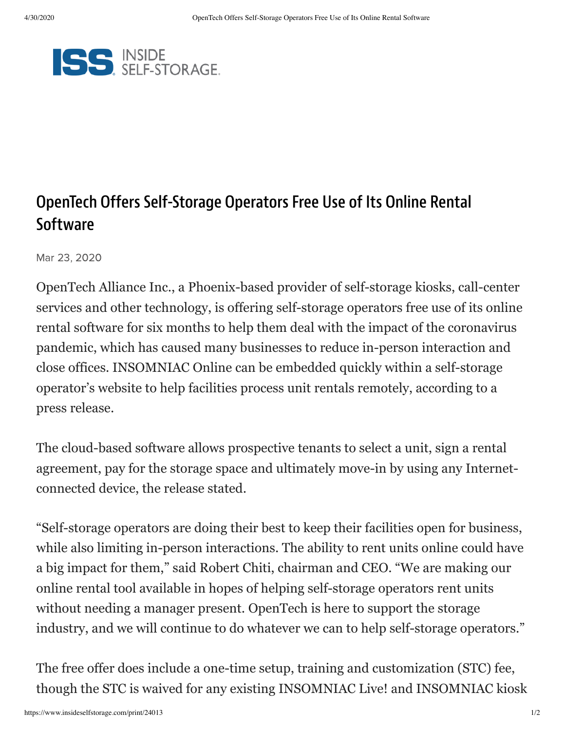

## OpenTech Offers Self-Storage Operators Free Use of Its Online Rental **Software**

Mar 23, 2020

OpenTech Alliance Inc., a Phoenix-based provider of self-storage kiosks, call-center services and other technology, is offering self-storage operators free use of its online rental software for six months to help them deal with the impact of the coronavirus pandemic, which has caused many businesses to reduce in-person interaction and close offices. INSOMNIAC Online can be embedded quickly within a self-storage operator's website to help facilities process unit rentals remotely, according to a press release.

The cloud-based software allows prospective tenants to select a unit, sign a rental agreement, pay for the storage space and ultimately move-in by using any Internetconnected device, the release stated.

"Self-storage operators are doing their best to keep their facilities open for business, while also limiting in-person interactions. The ability to rent units online could have a big impact for them," said Robert Chiti, chairman and CEO. "We are making our online rental tool available in hopes of helping self-storage operators rent units without needing a manager present. OpenTech is here to support the storage industry, and we will continue to do whatever we can to help self-storage operators."

The free offer does include a one-time setup, training and customization (STC) fee, though the STC is waived for any existing INSOMNIAC Live! and INSOMNIAC kiosk